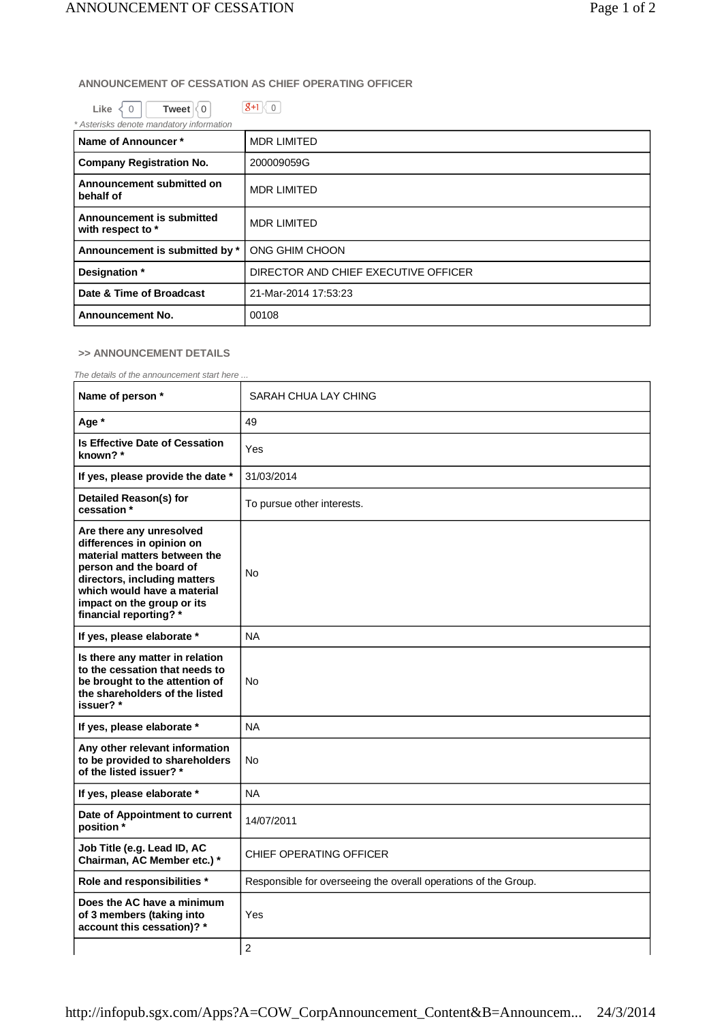## **ANNOUNCEMENT OF CESSATION AS CHIEF OPERATING OFFICER**

| Like $\langle 0$ | Tweet $\vert\langle 0 \vert$ |  |
|------------------|------------------------------|--|
|                  |                              |  |

| Asterisks denote mandatory information         |                                      |  |
|------------------------------------------------|--------------------------------------|--|
| Name of Announcer*                             | <b>MDR LIMITED</b>                   |  |
| <b>Company Registration No.</b>                | 200009059G                           |  |
| Announcement submitted on<br>behalf of         | <b>MDR LIMITED</b>                   |  |
| Announcement is submitted<br>with respect to * | <b>MDR LIMITED</b>                   |  |
| Announcement is submitted by *                 | ONG GHIM CHOON                       |  |
| Designation *                                  | DIRECTOR AND CHIEF EXECUTIVE OFFICER |  |
| Date & Time of Broadcast                       | 21-Mar-2014 17:53:23                 |  |
| <b>Announcement No.</b>                        | 00108                                |  |

## **>> ANNOUNCEMENT DETAILS**

*The details of the announcement start here ...*

| Name of person *                                                                                                                                                                                                                        | SARAH CHUA LAY CHING                                            |  |
|-----------------------------------------------------------------------------------------------------------------------------------------------------------------------------------------------------------------------------------------|-----------------------------------------------------------------|--|
| Age *                                                                                                                                                                                                                                   | 49                                                              |  |
| Is Effective Date of Cessation<br>known?*                                                                                                                                                                                               | Yes                                                             |  |
| If yes, please provide the date *                                                                                                                                                                                                       | 31/03/2014                                                      |  |
| <b>Detailed Reason(s) for</b><br>cessation *                                                                                                                                                                                            | To pursue other interests.                                      |  |
| Are there any unresolved<br>differences in opinion on<br>material matters between the<br>person and the board of<br>directors, including matters<br>which would have a material<br>impact on the group or its<br>financial reporting? * | No                                                              |  |
| If yes, please elaborate *                                                                                                                                                                                                              | <b>NA</b>                                                       |  |
| Is there any matter in relation<br>to the cessation that needs to<br>be brought to the attention of<br>the shareholders of the listed<br>issuer?*                                                                                       | No                                                              |  |
| If yes, please elaborate *                                                                                                                                                                                                              | <b>NA</b>                                                       |  |
| Any other relevant information<br>to be provided to shareholders<br>of the listed issuer? *                                                                                                                                             | No                                                              |  |
| If yes, please elaborate *                                                                                                                                                                                                              | <b>NA</b>                                                       |  |
| Date of Appointment to current<br>position*                                                                                                                                                                                             | 14/07/2011                                                      |  |
| Job Title (e.g. Lead ID, AC<br>Chairman, AC Member etc.) *                                                                                                                                                                              | <b>CHIEF OPERATING OFFICER</b>                                  |  |
| Role and responsibilities *                                                                                                                                                                                                             | Responsible for overseeing the overall operations of the Group. |  |
| Does the AC have a minimum<br>of 3 members (taking into<br>account this cessation)? *                                                                                                                                                   | Yes                                                             |  |
|                                                                                                                                                                                                                                         | $\overline{c}$                                                  |  |